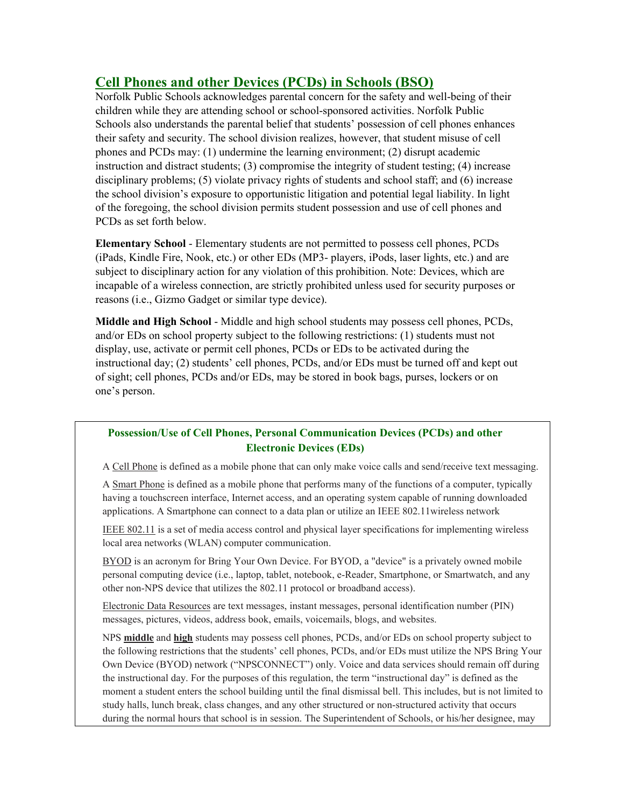# **Cell Phones and other Devices (PCDs) in Schools (BSO)**

Norfolk Public Schools acknowledges parental concern for the safety and well-being of their children while they are attending school or school-sponsored activities. Norfolk Public Schools also understands the parental belief that students' possession of cell phones enhances their safety and security. The school division realizes, however, that student misuse of cell phones and PCDs may: (1) undermine the learning environment; (2) disrupt academic instruction and distract students; (3) compromise the integrity of student testing; (4) increase disciplinary problems; (5) violate privacy rights of students and school staff; and (6) increase the school division's exposure to opportunistic litigation and potential legal liability. In light of the foregoing, the school division permits student possession and use of cell phones and PCDs as set forth below.

**Elementary School** - Elementary students are not permitted to possess cell phones, PCDs (iPads, Kindle Fire, Nook, etc.) or other EDs (MP3- players, iPods, laser lights, etc.) and are subject to disciplinary action for any violation of this prohibition. Note: Devices, which are incapable of a wireless connection, are strictly prohibited unless used for security purposes or reasons (i.e., Gizmo Gadget or similar type device).

**Middle and High School** - Middle and high school students may possess cell phones, PCDs, and/or EDs on school property subject to the following restrictions: (1) students must not display, use, activate or permit cell phones, PCDs or EDs to be activated during the instructional day; (2) students' cell phones, PCDs, and/or EDs must be turned off and kept out of sight; cell phones, PCDs and/or EDs, may be stored in book bags, purses, lockers or on one's person.

## **Possession/Use of Cell Phones, Personal Communication Devices (PCDs) and other Electronic Devices (EDs)**

A Cell Phone is defined as a mobile phone that can only make voice calls and send/receive text messaging.

A Smart Phone is defined as a mobile phone that performs many of the functions of a computer, typically having a touchscreen interface, Internet access, and an operating system capable of running downloaded applications. A Smartphone can connect to a data plan or utilize an IEEE 802.11wireless network

IEEE 802.11 is a set of media access control and physical layer specifications for implementing wireless local area networks (WLAN) computer communication.

BYOD is an acronym for Bring Your Own Device. For BYOD, a "device" is a privately owned mobile personal computing device (i.e., laptop, tablet, notebook, e-Reader, Smartphone, or Smartwatch, and any other non-NPS device that utilizes the 802.11 protocol or broadband access).

Electronic Data Resources are text messages, instant messages, personal identification number (PIN) messages, pictures, videos, address book, emails, voicemails, blogs, and websites.

NPS **middle** and **high** students may possess cell phones, PCDs, and/or EDs on school property subject to the following restrictions that the students' cell phones, PCDs, and/or EDs must utilize the NPS Bring Your Own Device (BYOD) network ("NPSCONNECT") only. Voice and data services should remain off during the instructional day. For the purposes of this regulation, the term "instructional day" is defined as the moment a student enters the school building until the final dismissal bell. This includes, but is not limited to study halls, lunch break, class changes, and any other structured or non-structured activity that occurs during the normal hours that school is in session. The Superintendent of Schools, or his/her designee, may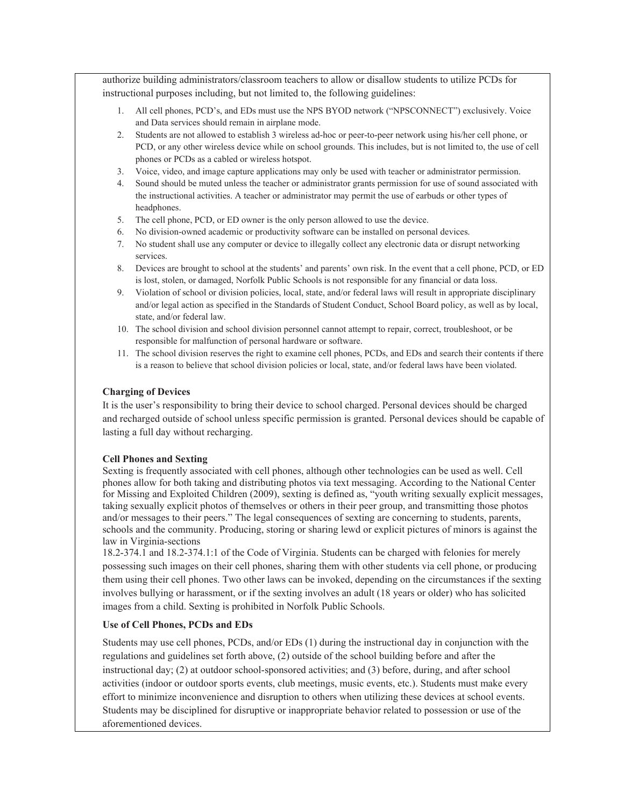authorize building administrators/classroom teachers to allow or disallow students to utilize PCDs for instructional purposes including, but not limited to, the following guidelines:

- 1. All cell phones, PCD's, and EDs must use the NPS BYOD network ("NPSCONNECT") exclusively. Voice and Data services should remain in airplane mode.
- 2. Students are not allowed to establish 3 wireless ad-hoc or peer-to-peer network using his/her cell phone, or PCD, or any other wireless device while on school grounds. This includes, but is not limited to, the use of cell phones or PCDs as a cabled or wireless hotspot.
- 3. Voice, video, and image capture applications may only be used with teacher or administrator permission.
- 4. Sound should be muted unless the teacher or administrator grants permission for use of sound associated with the instructional activities. A teacher or administrator may permit the use of earbuds or other types of headphones.
- 5. The cell phone, PCD, or ED owner is the only person allowed to use the device.
- 6. No division-owned academic or productivity software can be installed on personal devices.
- 7. No student shall use any computer or device to illegally collect any electronic data or disrupt networking services.
- 8. Devices are brought to school at the students' and parents' own risk. In the event that a cell phone, PCD, or ED is lost, stolen, or damaged, Norfolk Public Schools is not responsible for any financial or data loss.
- 9. Violation of school or division policies, local, state, and/or federal laws will result in appropriate disciplinary and/or legal action as specified in the Standards of Student Conduct, School Board policy, as well as by local, state, and/or federal law.
- 10. The school division and school division personnel cannot attempt to repair, correct, troubleshoot, or be responsible for malfunction of personal hardware or software.
- 11. The school division reserves the right to examine cell phones, PCDs, and EDs and search their contents if there is a reason to believe that school division policies or local, state, and/or federal laws have been violated.

### **Charging of Devices**

It is the user's responsibility to bring their device to school charged. Personal devices should be charged and recharged outside of school unless specific permission is granted. Personal devices should be capable of lasting a full day without recharging.

#### **Cell Phones and Sexting**

Sexting is frequently associated with cell phones, although other technologies can be used as well. Cell phones allow for both taking and distributing photos via text messaging. According to the National Center for Missing and Exploited Children (2009), sexting is defined as, "youth writing sexually explicit messages, taking sexually explicit photos of themselves or others in their peer group, and transmitting those photos and/or messages to their peers." The legal consequences of sexting are concerning to students, parents, schools and the community. Producing, storing or sharing lewd or explicit pictures of minors is against the law in Virginia-sections

18.2-374.1 and 18.2-374.1:1 of the Code of Virginia. Students can be charged with felonies for merely possessing such images on their cell phones, sharing them with other students via cell phone, or producing them using their cell phones. Two other laws can be invoked, depending on the circumstances if the sexting involves bullying or harassment, or if the sexting involves an adult (18 years or older) who has solicited images from a child. Sexting is prohibited in Norfolk Public Schools.

### **Use of Cell Phones, PCDs and EDs**

Students may use cell phones, PCDs, and/or EDs (1) during the instructional day in conjunction with the regulations and guidelines set forth above, (2) outside of the school building before and after the instructional day; (2) at outdoor school-sponsored activities; and (3) before, during, and after school activities (indoor or outdoor sports events, club meetings, music events, etc.). Students must make every effort to minimize inconvenience and disruption to others when utilizing these devices at school events. Students may be disciplined for disruptive or inappropriate behavior related to possession or use of the aforementioned devices.